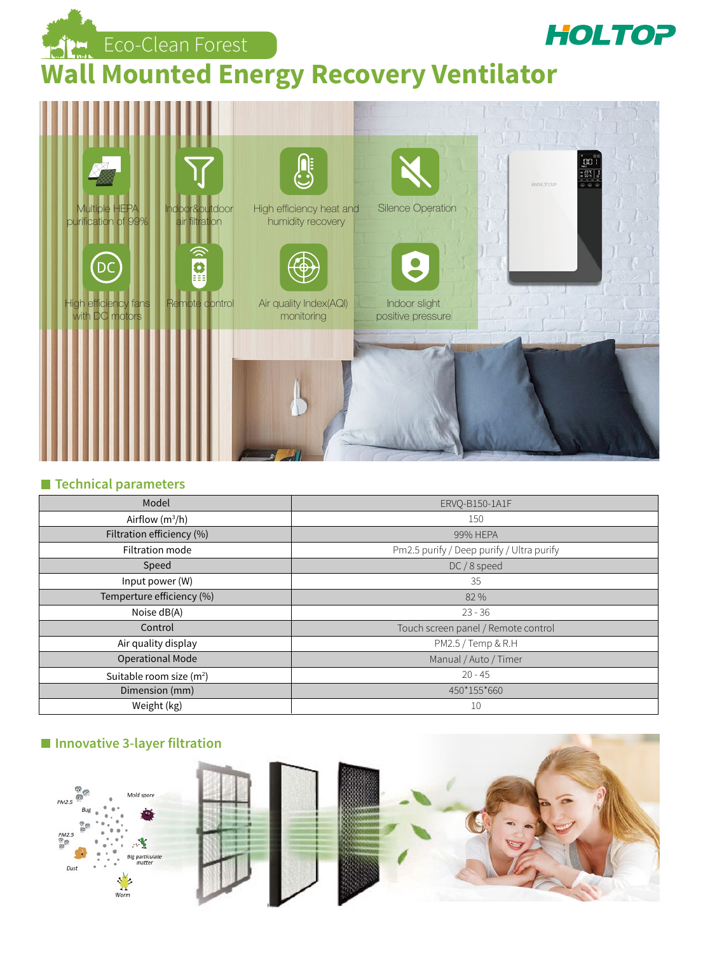Eco-Clean Forest

### **HOLTOP**

## **Wall Mounted Energy Recovery Ventilator**



#### **Technical parameters**

| Model                                | ERVO-B150-1A1F                            |
|--------------------------------------|-------------------------------------------|
| Airflow $(m^3/h)$                    | 150                                       |
| Filtration efficiency (%)            | 99% HEPA                                  |
| Filtration mode                      | Pm2.5 purify / Deep purify / Ultra purify |
| Speed                                | DC/8 speed                                |
| Input power (W)                      | 35                                        |
| Temperture efficiency (%)            | 82 %                                      |
| Noise dB(A)                          | $23 - 36$                                 |
| Control                              | Touch screen panel / Remote control       |
| Air quality display                  | PM2.5 / Temp & R.H                        |
| <b>Operational Mode</b>              | Manual / Auto / Timer                     |
| Suitable room size (m <sup>2</sup> ) | $20 - 45$                                 |
| Dimension (mm)                       | 450*155*660                               |
| Weight (kg)                          | 10                                        |

### **Innovative 3-layer filtration**